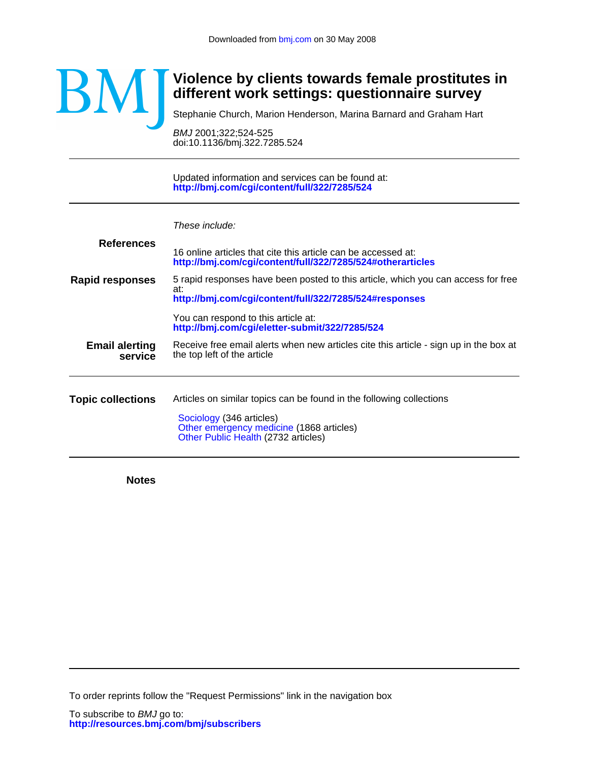

# **different work settings: questionnaire survey Violence by clients towards female prostitutes in**

Stephanie Church, Marion Henderson, Marina Barnard and Graham Hart

doi:10.1136/bmj.322.7285.524 BMJ 2001;322;524-525

## **<http://bmj.com/cgi/content/full/322/7285/524>** Updated information and services can be found at:

|                                  | These include:                                                                                                                                                                      |  |  |  |
|----------------------------------|-------------------------------------------------------------------------------------------------------------------------------------------------------------------------------------|--|--|--|
| <b>References</b>                | 16 online articles that cite this article can be accessed at:<br>http://bmj.com/cgi/content/full/322/7285/524#otherarticles                                                         |  |  |  |
| Rapid responses                  | 5 rapid responses have been posted to this article, which you can access for free<br>at:<br>http://bmj.com/cgi/content/full/322/7285/524#responses                                  |  |  |  |
|                                  | You can respond to this article at:<br>http://bmj.com/cgi/eletter-submit/322/7285/524                                                                                               |  |  |  |
| <b>Email alerting</b><br>service | Receive free email alerts when new articles cite this article - sign up in the box at<br>the top left of the article                                                                |  |  |  |
| <b>Topic collections</b>         | Articles on similar topics can be found in the following collections<br>Sociology (346 articles)<br>Other emergency medicine (1868 articles)<br>Other Public Health (2732 articles) |  |  |  |

**Notes**

To order reprints follow the "Request Permissions" link in the navigation box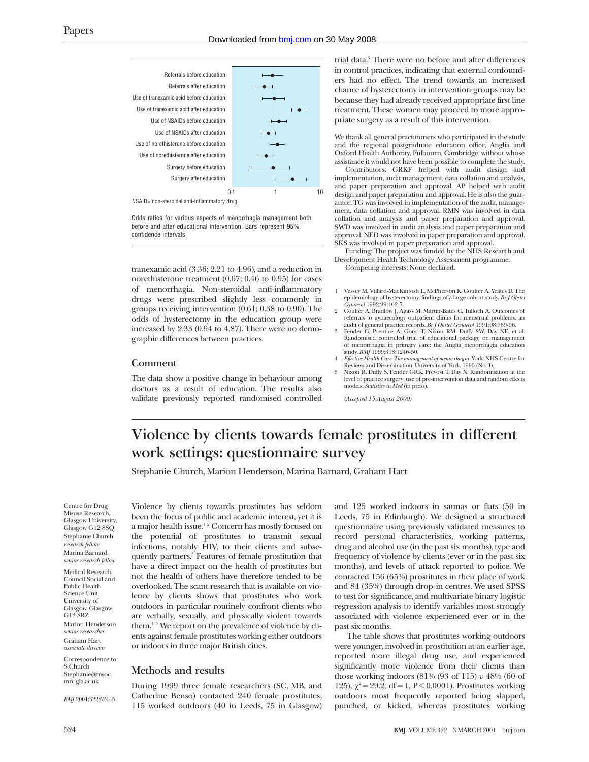

NSAID= non-steroidal anti-inflammatory drug

Odds ratios for various aspects of menorrhagia management both before and after educational intervention. Bars represent 95% confidence intervals

tranexamic acid (3.36; 2.21 to 4.96), and a reduction in norethisterone treatment (0.67; 0.46 to 0.95) for cases of menorrhagia. Non-steroidal anti-inflammatory drugs were prescribed slightly less commonly in groups receiving intervention (0.61; 0.38 to 0.90). The odds of hysterectomy in the education group were increased by 2.33 (0.94 to 4.87). There were no demographic differences between practices.

### **Comment**

The data show a positive change in behaviour among doctors as a result of education. The results also validate previously reported randomised controlled

trial data.3 There were no before and after differences in control practices, indicating that external confounders had no effect. The trend towards an increased chance of hysterectomy in intervention groups may be because they had already received appropriate first line treatment. These women may proceed to more appropriate surgery as a result of this intervention.

We thank all general practitioners who participated in the study and the regional postgraduate education office, Anglia and Oxford Health Authority, Fulbourn, Cambridge, without whose assistance it would not have been possible to complete the study.

Contributors: GRKF helped with audit design and implementation, audit management, data collation and analysis, and paper preparation and approval. AP helped with audit design and paper preparation and approval. He is also the guarantor. TG was involved in implementation of the audit, management, data collation and approval. RMN was involved in data collation and analysis and paper preparation and approval. SWD was involved in audit analysis and paper preparation and approval. NED was involved in paper preparation and approval. SKS was involved in paper preparation and approval.

Funding: The project was funded by the NHS Research and Development Health Technology Assessment programme.

Competing interests: None declared.

- 1 Vessey M, Villard-MacKintosh L, McPherson K, Coulter A, Yeates D. The epidemiology of hysterectomy: findings of a large cohort study. *Br J Obstet Gynaecol* 1992;99:402-7.
- 2 Coulter A, Bradlow J, Agass M, Martin-Bates C, Tulloch A. Outcomes of referrals to gynaecology outpatient clinics for menstrual problems: an audit of general practice records. *Br J Obstet Gynaecol* 1991;98:789-96.
- 3 Fender G, Prentice A, Gorst T, Nixon RM, Duffy SW, Day NE, et al. Randomised controlled trial of educational package on management of menorrhagia in primary care: the Anglia menorrhagia education study. *BMJ* 1999;318:1246-50.
- 4 *Effective Health Care:The management of menorrhagia*. York: NHS Centre for Reviews and Dissemination, University of York, 1995 (No. 1).
- 5 Nixon R, Duffy S, Fender GRK, Prevost T, Day N. Randomisation at the level of practice surgery: use of pre-intervention data and random effects models. *Statistics in Med* (in press).

*(Accepted 15 August 2000)*

## **Violence by clients towards female prostitutes in different work settings: questionnaire survey**

Stephanie Church, Marion Henderson, Marina Barnard, Graham Hart

Centre for Drug Misuse Research, Glasgow University, Glasgow G12 8SQ Stephanie Church *research fellow* Marina Barnard *senior research fellow*

Medical Research Council Social and Public Health Science Unit, University of Glasgow, Glasgow G12 8RZ Marion Henderson *senior researcher* Graham Hart

Correspondence to: S Church Stephanie@msoc. mrc.gla.ac.uk

*associate director*

*BMJ* 2001;322:524–5

Violence by clients towards prostitutes has seldom been the focus of public and academic interest, yet it is a major health issue.<sup>12</sup> Concern has mostly focused on the potential of prostitutes to transmit sexual infections, notably HIV, to their clients and subsequently partners.<sup>3</sup> Features of female prostitution that have a direct impact on the health of prostitutes but not the health of others have therefore tended to be overlooked. The scant research that is available on violence by clients shows that prostitutes who work outdoors in particular routinely confront clients who are verbally, sexually, and physically violent towards them.4 5 We report on the prevalence of violence by clients against female prostitutes working either outdoors or indoors in three major British cities.

### **Methods and results**

During 1999 three female researchers (SC, MB, and Catherine Benso) contacted 240 female prostitutes; 115 worked outdoors (40 in Leeds, 75 in Glasgow)

and 125 worked indoors in saunas or flats (50 in Leeds, 75 in Edinburgh). We designed a structured questionnaire using previously validated measures to record personal characteristics, working patterns, drug and alcohol use (in the past six months), type and frequency of violence by clients (ever or in the past six months), and levels of attack reported to police. We contacted 156 (65%) prostitutes in their place of work and 84 (35%) through drop-in centres. We used SPSS to test for significance, and multivariate binary logistic regression analysis to identify variables most strongly associated with violence experienced ever or in the past six months.

The table shows that prostitutes working outdoors were younger, involved in prostitution at an earlier age, reported more illegal drug use, and experienced significantly more violence from their clients than those working indoors (81% (93 of 115) *v* 48% (60 of 125),  $\chi^2 = 29.2$ , df = 1, P < 0.0001). Prostitutes working outdoors most frequently reported being slapped, punched, or kicked, whereas prostitutes working